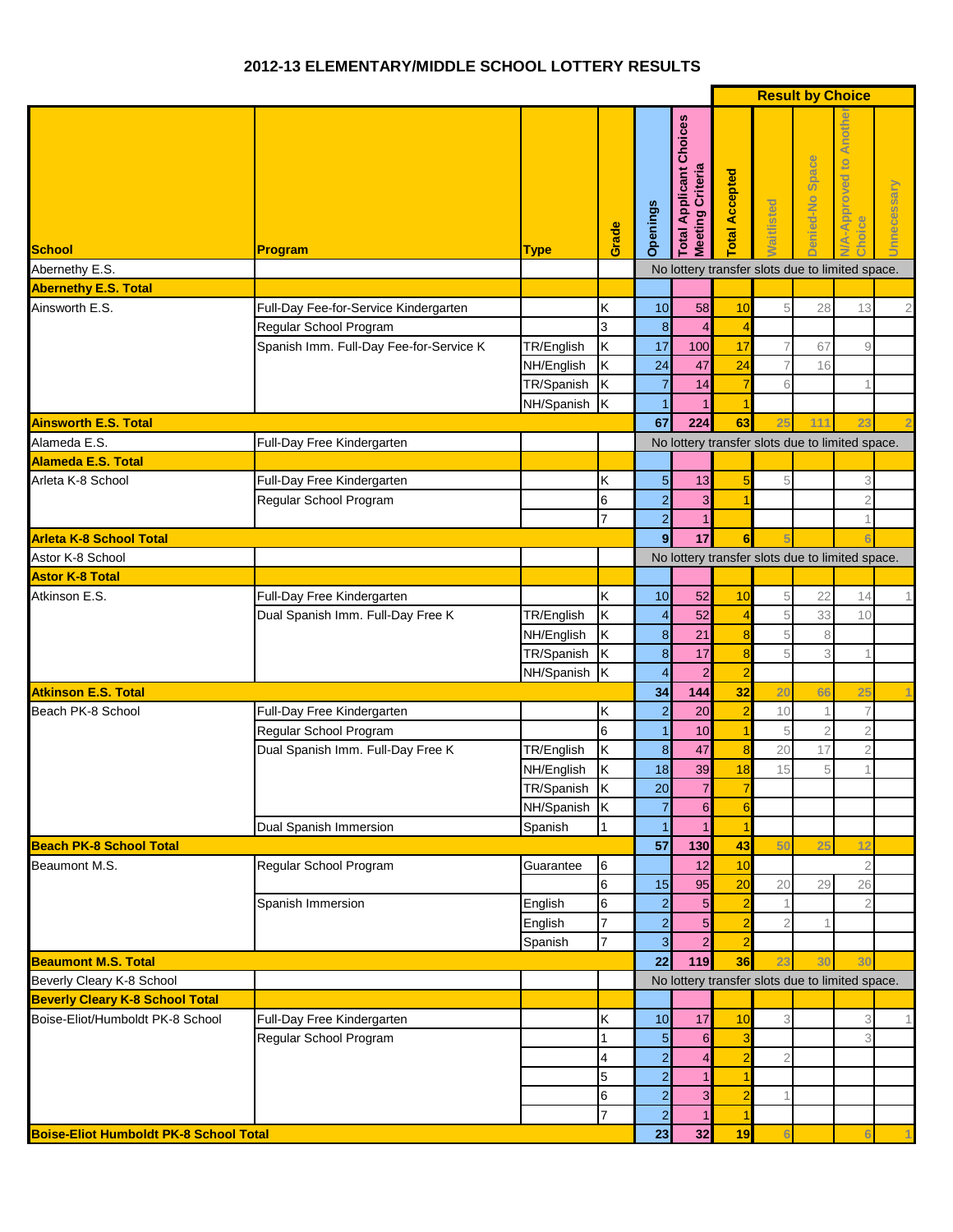## **2012-13 ELEMENTARY/MIDDLE SCHOOL LOTTERY RESULTS**

|                                               |                                         |                         |                         |                      |                                                           |                 |                   | <b>Result by Choice</b> |                                                         |                |
|-----------------------------------------------|-----------------------------------------|-------------------------|-------------------------|----------------------|-----------------------------------------------------------|-----------------|-------------------|-------------------------|---------------------------------------------------------|----------------|
| <b>School</b>                                 | Program                                 | <b>Type</b>             | Grade                   | <b>Openings</b>      | <b>Total Applicant Choices</b><br><b>Meeting Criteria</b> | otal Accepted   | <b>Naitlisted</b> | Denied-No Space         | Anoth<br>$\overline{\mathbf{c}}$<br>A-Approved<br>hoice | Unnecessary    |
| Abernethy E.S.                                |                                         |                         |                         |                      |                                                           |                 |                   |                         | No lottery transfer slots due to limited space.         |                |
| <b>Abernethy E.S. Total</b>                   |                                         |                         |                         |                      |                                                           |                 |                   |                         |                                                         |                |
| Ainsworth E.S.                                | Full-Day Fee-for-Service Kindergarten   |                         | Κ                       | 10                   | 58                                                        | 10              | 5                 | 28                      | 13                                                      | $\overline{2}$ |
|                                               | Regular School Program                  |                         | 3                       | 8                    | $\overline{4}$                                            | $\overline{4}$  |                   |                         |                                                         |                |
|                                               | Spanish Imm. Full-Day Fee-for-Service K | TR/English              | Κ                       | 17                   | 100                                                       | 17              |                   | 67                      | 9                                                       |                |
|                                               |                                         | NH/English              | Κ                       | 24                   | 47                                                        | 24              |                   | 16                      |                                                         |                |
|                                               |                                         | TR/Spanish              | Κ                       | $\overline{7}$       | 14                                                        | $\overline{7}$  | 6                 |                         |                                                         |                |
| <b>Ainsworth E.S. Total</b>                   |                                         | NH/Spanish              | Iκ                      | $\overline{1}$<br>67 | 224                                                       | 1<br>63         | 25                | 111                     | 23                                                      |                |
| Alameda E.S.                                  | Full-Day Free Kindergarten              |                         |                         |                      |                                                           |                 |                   |                         | No lottery transfer slots due to limited space.         | $\overline{2}$ |
| <b>Alameda E.S. Total</b>                     |                                         |                         |                         |                      |                                                           |                 |                   |                         |                                                         |                |
|                                               | Full-Day Free Kindergarten              |                         | Κ                       | $\overline{5}$       | 13                                                        | 5               | 5                 |                         | 3                                                       |                |
| Arleta K-8 School                             | Regular School Program                  |                         | 6                       | $\overline{2}$       | 3                                                         |                 |                   |                         | $\mathbf{2}$                                            |                |
|                                               |                                         |                         | 7                       | $\overline{a}$       |                                                           |                 |                   |                         | 1                                                       |                |
| <b>Arleta K-8 School Total</b>                |                                         |                         |                         | $\mathbf{9}$         | 17                                                        | 6               |                   |                         |                                                         |                |
| Astor K-8 School                              |                                         |                         |                         |                      |                                                           |                 |                   |                         | No lottery transfer slots due to limited space.         |                |
| <b>Astor K-8 Total</b>                        |                                         |                         |                         |                      |                                                           |                 |                   |                         |                                                         |                |
| Atkinson E.S.                                 | Full-Day Free Kindergarten              |                         | Κ                       | 10                   | 52                                                        | 10              | 5                 | 22                      | 14                                                      | 1              |
|                                               | Dual Spanish Imm. Full-Day Free K       | TR/English              | Κ                       | $\overline{4}$       | 52                                                        | $\overline{4}$  | 5                 | 33                      | 10                                                      |                |
|                                               |                                         | NH/English              | Κ                       | $\boldsymbol{8}$     | 21                                                        | 8               | 5                 | 8                       |                                                         |                |
|                                               |                                         | TR/Spanish              | $\overline{\mathsf{K}}$ | 8                    | 17                                                        | 8               | 5                 | 3                       |                                                         |                |
|                                               |                                         | NH/Spanish K            |                         |                      | $\overline{2}$                                            | $\overline{2}$  |                   |                         |                                                         |                |
| <b>Atkinson E.S. Total</b>                    |                                         |                         |                         | 34                   | 144                                                       | 32              | 20                | 66                      | 25                                                      |                |
| Beach PK-8 School                             | Full-Day Free Kindergarten              |                         | Κ                       | $\overline{2}$       | 20                                                        | $\overline{a}$  | 10                |                         | $\overline{7}$                                          |                |
|                                               | Regular School Program                  |                         | 6                       | $\mathbf{1}$         | 10                                                        | $\overline{1}$  | 5                 | $\overline{2}$          | $\overline{2}$                                          |                |
|                                               | Dual Spanish Imm. Full-Day Free K       | TR/English              | Κ                       | $\boldsymbol{8}$     | 47                                                        | $\bf8$          | 20                | 17                      | $\overline{2}$                                          |                |
|                                               |                                         | NH/English              | Κ                       | 18                   | 39                                                        | 18              | 15                | 5                       |                                                         |                |
|                                               |                                         | TR/Spanish <sub>K</sub> |                         | 20                   | $\sqrt{2}$                                                | 7               |                   |                         |                                                         |                |
|                                               |                                         | NH/Spanish K            |                         | $\overline{7}$       | $\overline{6}$                                            | $6\phantom{1}6$ |                   |                         |                                                         |                |
| <b>Beach PK-8 School Total</b>                | Dual Spanish Immersion                  | Spanish                 | 1                       | $\vert$ 1<br>57      |                                                           | $\overline{1}$  |                   |                         |                                                         |                |
| Beaumont M.S.                                 |                                         |                         |                         |                      | 130<br>12                                                 | 43              | 50                | 25                      | 12<br>$\overline{2}$                                    |                |
|                                               | Regular School Program                  | Guarantee               | 6<br>$6\phantom{.0}$    | 15                   | 95                                                        | 10<br>20        | 20                | 29                      | 26                                                      |                |
|                                               | Spanish Immersion                       | English                 | $\,$ 6                  | $\overline{a}$       | $\overline{5}$                                            | $\overline{a}$  |                   |                         | $\overline{2}$                                          |                |
|                                               |                                         | English                 | $\overline{7}$          | $\overline{a}$       | 5                                                         | $\overline{2}$  |                   |                         |                                                         |                |
|                                               |                                         | Spanish                 | $\overline{7}$          | $\overline{3}$       | $\overline{a}$                                            | $\overline{2}$  |                   |                         |                                                         |                |
| <b>Beaumont M.S. Total</b>                    |                                         |                         |                         | 22                   | 119                                                       | 36              | 23                | 30                      | 3 <sub>0</sub>                                          |                |
| Beverly Cleary K-8 School                     |                                         |                         |                         |                      |                                                           |                 |                   |                         | No lottery transfer slots due to limited space.         |                |
| <b>Beverly Cleary K-8 School Total</b>        |                                         |                         |                         |                      |                                                           |                 |                   |                         |                                                         |                |
| Boise-Eliot/Humboldt PK-8 School              | Full-Day Free Kindergarten              |                         | Κ                       | 10                   | 17                                                        | 10              | 3                 |                         | 3                                                       |                |
|                                               | Regular School Program                  |                         | 1                       | 5                    | 6                                                         | 3               |                   |                         | 3                                                       |                |
|                                               |                                         |                         | 4                       | $\overline{2}$       | 4                                                         | $\overline{2}$  | $\overline{2}$    |                         |                                                         |                |
|                                               |                                         |                         | 5                       | $\overline{2}$       |                                                           |                 |                   |                         |                                                         |                |
|                                               |                                         |                         | 6                       | $\overline{2}$       | 3                                                         | $\overline{2}$  |                   |                         |                                                         |                |
|                                               |                                         |                         | 7                       | $\overline{2}$       |                                                           | 1               |                   |                         |                                                         |                |
| <b>Boise-Eliot Humboldt PK-8 School Total</b> |                                         |                         |                         | 23                   | 32                                                        | 19              |                   |                         |                                                         |                |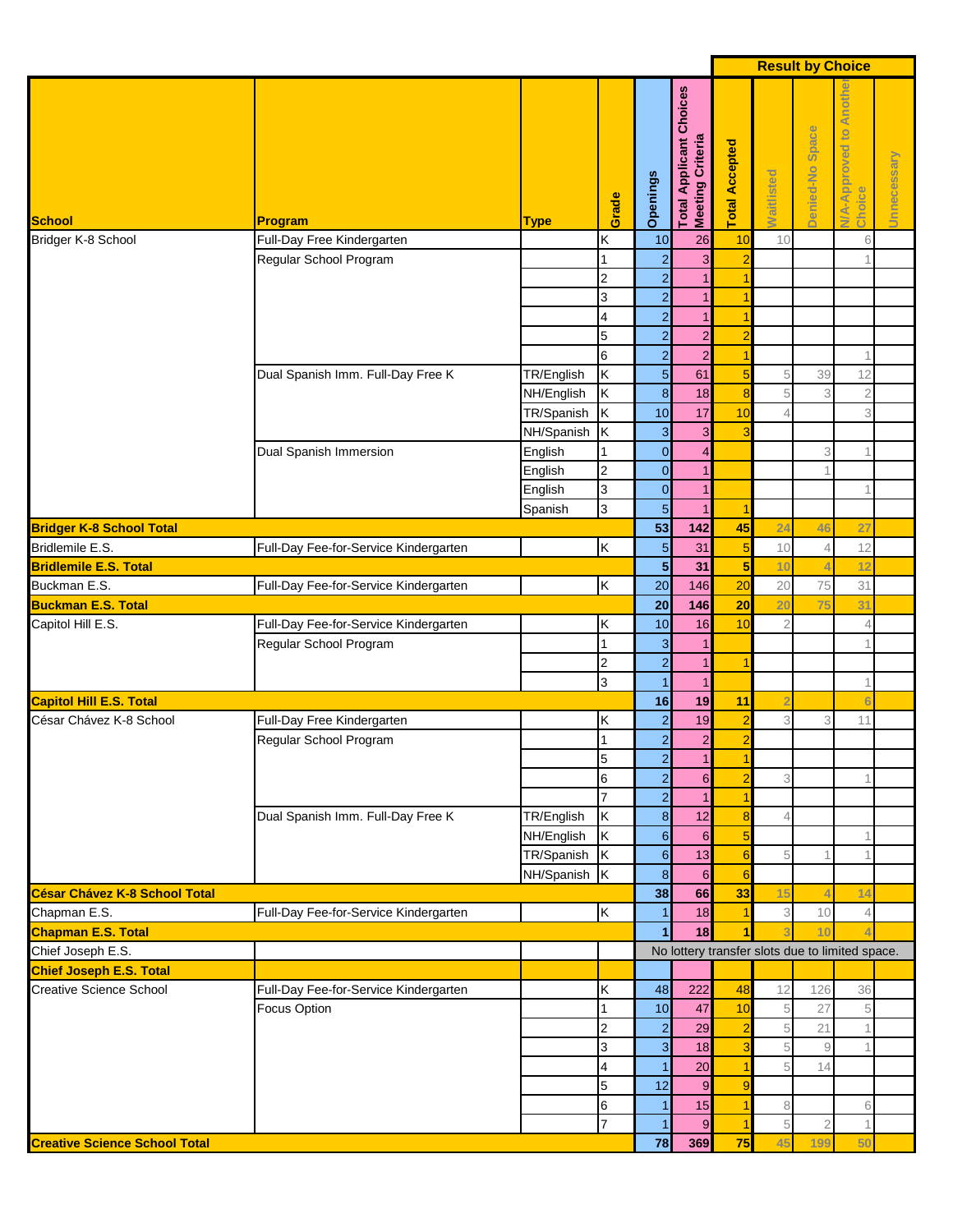|                                      |                                                      |                          |                     |                                  |                                                           |                                  |                                                 | <b>Result by Choice</b> |                                     |             |
|--------------------------------------|------------------------------------------------------|--------------------------|---------------------|----------------------------------|-----------------------------------------------------------|----------------------------------|-------------------------------------------------|-------------------------|-------------------------------------|-------------|
| <b>School</b>                        | Program                                              | <b>Type</b>              | Grade               | Openings                         | <b>Total Applicant Choices</b><br><b>Meeting Criteria</b> | <b>Total Accepted</b>            | <b>Naitlisted</b>                               | Denied-No Space         | Anothe<br>N/A-Approved to<br>Choice | Unnecessary |
| Bridger K-8 School                   | Full-Day Free Kindergarten                           |                          | Κ                   | 10                               | 26                                                        | 10                               | 10                                              |                         | 6                                   |             |
|                                      | Regular School Program                               |                          | 1                   | $\overline{2}$                   | 3                                                         | $\overline{2}$                   |                                                 |                         |                                     |             |
|                                      |                                                      |                          | $\overline{2}$      | $\overline{2}$                   |                                                           | 1                                |                                                 |                         |                                     |             |
|                                      |                                                      |                          | 3                   | $\overline{2}$                   |                                                           | 1                                |                                                 |                         |                                     |             |
|                                      |                                                      |                          | 4                   | $\overline{2}$                   | 1                                                         | 1                                |                                                 |                         |                                     |             |
|                                      |                                                      |                          | 5                   | $\overline{a}$                   | $\overline{a}$                                            | $\overline{a}$                   |                                                 |                         |                                     |             |
|                                      |                                                      |                          | $\,$ 6              | $\overline{a}$                   | $\overline{\mathbf{c}}$                                   | 1                                |                                                 |                         |                                     |             |
|                                      | Dual Spanish Imm. Full-Day Free K                    | TR/English<br>NH/English | Κ<br>K              | $\overline{5}$                   | 61<br>18                                                  | 5                                | 5<br>5                                          | 39<br>3                 | 12                                  |             |
|                                      |                                                      | TR/Spanish               | K                   | $\boldsymbol{8}$<br>10           | 17                                                        | 8<br>10                          | 4                                               |                         | $\overline{2}$<br>3                 |             |
|                                      |                                                      | NH/Spanish               | Ιĸ                  | 3                                | 3                                                         | 3                                |                                                 |                         |                                     |             |
|                                      | Dual Spanish Immersion                               | English                  | 1                   | $\overline{0}$                   | $\overline{4}$                                            |                                  |                                                 | 3                       |                                     |             |
|                                      |                                                      | English                  | $\overline{2}$      | $\overline{0}$                   | $\overline{1}$                                            |                                  |                                                 |                         |                                     |             |
|                                      |                                                      | English                  | 3                   | $\overline{0}$                   | $\overline{1}$                                            |                                  |                                                 |                         |                                     |             |
|                                      |                                                      | Spanish                  | 3                   | $\overline{5}$                   | $\overline{1}$                                            | 1                                |                                                 |                         |                                     |             |
| <b>Bridger K-8 School Total</b>      |                                                      |                          |                     | 53                               | 142                                                       | 45                               | 24                                              | 46                      | 27                                  |             |
| Bridlemile E.S.                      | Full-Day Fee-for-Service Kindergarten                |                          | İκ                  | 5                                | 31                                                        | $\overline{5}$                   | $10$                                            | 4                       | 12                                  |             |
| <b>Bridlemile E.S. Total</b>         |                                                      |                          |                     | $\overline{\mathbf{5}}$          | 31                                                        | $\overline{\mathbf{5}}$          | 10                                              | $\overline{4}$          | 12                                  |             |
| Buckman E.S.                         | Full-Day Fee-for-Service Kindergarten                |                          | Ιĸ                  | 20                               | 146                                                       | 20                               | 20                                              | 75                      | 31                                  |             |
| <b>Buckman E.S. Total</b>            |                                                      |                          |                     | 20                               | 146                                                       | 20                               | 20                                              | 75                      | 31                                  |             |
| Capitol Hill E.S.                    | Full-Day Fee-for-Service Kindergarten                |                          | Κ                   | 10                               | 16                                                        | 10                               | $\overline{2}$                                  |                         | $\overline{4}$                      |             |
|                                      | Regular School Program                               |                          | 1                   | 3                                |                                                           |                                  |                                                 |                         |                                     |             |
|                                      |                                                      |                          | $\overline{2}$      | $\overline{2}$                   | $\mathbf{1}$                                              | 1                                |                                                 |                         |                                     |             |
|                                      |                                                      |                          | 3                   | 1                                |                                                           |                                  |                                                 |                         |                                     |             |
| <b>Capitol Hill E.S. Total</b>       |                                                      |                          |                     | 16                               | 19                                                        | 11                               | 2                                               |                         |                                     |             |
| César Chávez K-8 School              | Full-Day Free Kindergarten<br>Regular School Program |                          | ΙK<br>1             | $\overline{2}$<br>$\overline{2}$ | 19<br>$\overline{\mathbf{c}}$                             | $\overline{2}$<br>$\overline{a}$ | 3                                               | 3                       | 11                                  |             |
|                                      |                                                      |                          | 15                  | $\overline{a}$                   | 1 <sup>1</sup>                                            | 1                                |                                                 |                         |                                     |             |
|                                      |                                                      |                          | $6\phantom{.}6$     | $\overline{a}$                   | $6\phantom{1}$                                            | $\overline{a}$                   | 3                                               |                         |                                     |             |
|                                      |                                                      |                          | $\overline{7}$      | $\overline{a}$                   | $\mathbf{1}$                                              | 1                                |                                                 |                         |                                     |             |
|                                      | Dual Spanish Imm. Full-Day Free K                    | TR/English               | K                   | $\bf 8$                          | 12                                                        | 8                                | 4                                               |                         |                                     |             |
|                                      |                                                      | NH/English               | K                   | $\boldsymbol{6}$                 | $6\phantom{1}$                                            | 5                                |                                                 |                         |                                     |             |
|                                      |                                                      | TR/Spanish K             |                     | $6\phantom{1}$                   | 13                                                        | $6\phantom{1}6$                  | 5                                               |                         |                                     |             |
|                                      |                                                      | NH/Spanish K             |                     | $\bf{8}$                         | $6\overline{6}$                                           | $6\phantom{1}6$                  |                                                 |                         |                                     |             |
| <b>César Chávez K-8 School Total</b> |                                                      |                          |                     | 38                               | 66                                                        | 33                               | 15                                              | $\overline{4}$          | 14                                  |             |
| Chapman E.S.                         | Full-Day Fee-for-Service Kindergarten                |                          | K                   | $\vert$ 1                        | 18                                                        | 1                                | 3                                               | 10                      | $\overline{4}$                      |             |
| <b>Chapman E.S. Total</b>            |                                                      |                          |                     | $\blacksquare$                   | 18                                                        | 1                                | 3                                               | 10 <sub>1</sub>         |                                     |             |
| Chief Joseph E.S.                    |                                                      |                          |                     |                                  |                                                           |                                  | No lottery transfer slots due to limited space. |                         |                                     |             |
| <b>Chief Joseph E.S. Total</b>       |                                                      |                          |                     |                                  |                                                           |                                  |                                                 |                         |                                     |             |
| <b>Creative Science School</b>       | Full-Day Fee-for-Service Kindergarten                |                          | Κ                   | 48                               | 222                                                       | 48                               | 12                                              | 126                     | 36                                  |             |
|                                      | Focus Option                                         |                          | 1<br>$\overline{2}$ | 10<br>$\overline{2}$             | 47<br>29                                                  | 10<br>$\overline{a}$             | 5<br>$\,$ 5 $\,$                                | 27<br>21                | 5<br>1                              |             |
|                                      |                                                      |                          | 3                   | $\mathbf{3}$                     | 18                                                        | 3                                | 5                                               | $\mathcal{G}$           |                                     |             |
|                                      |                                                      |                          | 4                   | $\vert$ 1                        | 20                                                        | 1                                | 5                                               | 14                      |                                     |             |
|                                      |                                                      |                          | 5                   | 12                               | $\boldsymbol{9}$                                          | $\overline{9}$                   |                                                 |                         |                                     |             |
|                                      |                                                      |                          | 6                   | $\vert$ 1                        | 15                                                        | $\overline{1}$                   | 8                                               |                         | 6                                   |             |
|                                      |                                                      |                          | 7                   | $\vert$ 1                        | $9$                                                       | $\overline{1}$                   | $\,$ 5                                          | $\overline{2}$          | $\mathbf{1}$                        |             |
| <b>Creative Science School Total</b> |                                                      |                          |                     | 78                               | 369                                                       | 75                               | 45                                              | 199                     | 50                                  |             |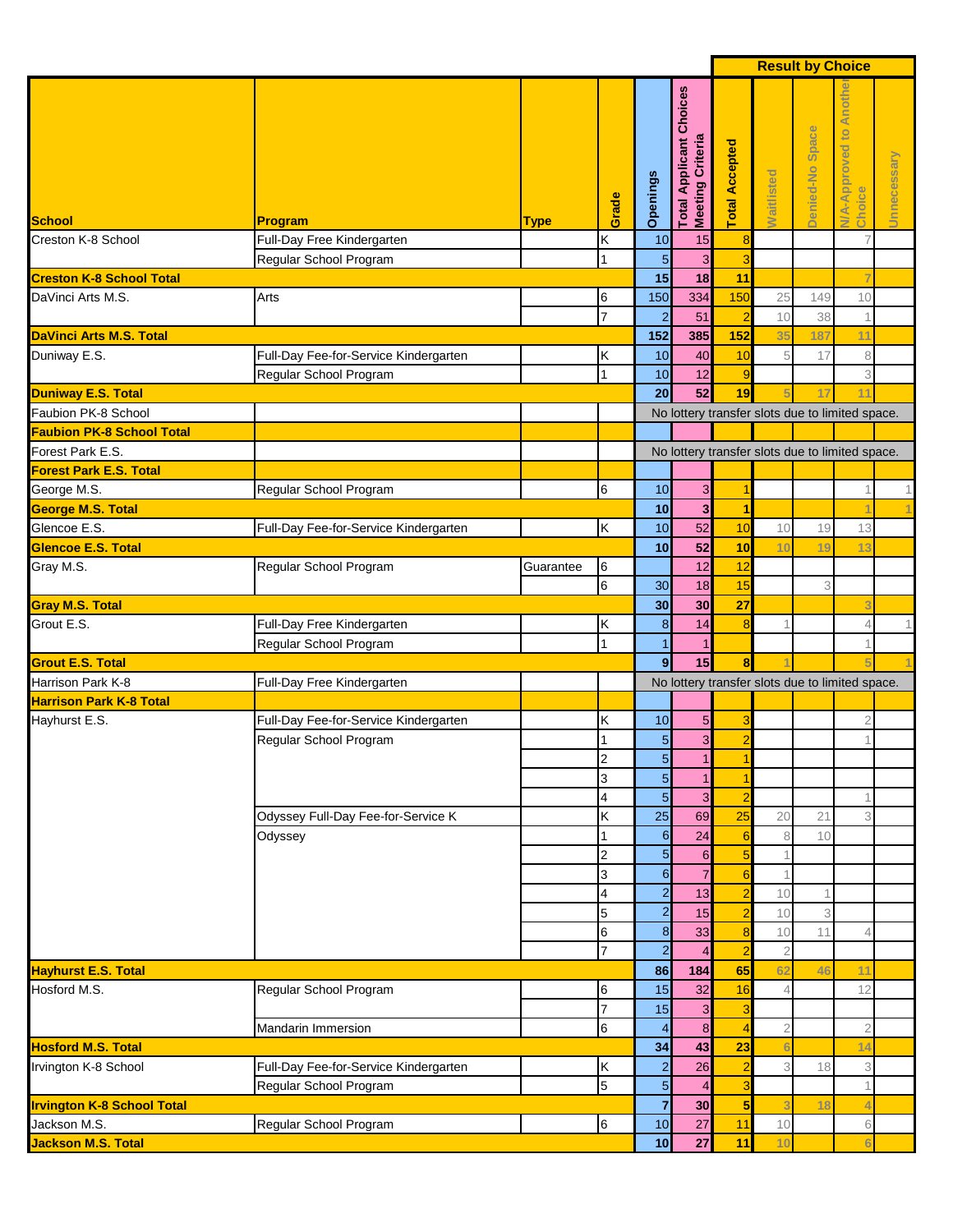|                                   |                                       |             |                 |                                  |                                                    |                      |                | <b>Result by Choice</b> |                                                 |             |
|-----------------------------------|---------------------------------------|-------------|-----------------|----------------------------------|----------------------------------------------------|----------------------|----------------|-------------------------|-------------------------------------------------|-------------|
| <b>School</b>                     | Program                               | <b>Type</b> | Grade           | Openings                         | <b>Total Applicant Choices</b><br>Meeting Criteria | otal Accepted        | Waitlisted     | Denied-No Space         | Anoth<br>Approved to<br>Choice<br>4             | Unnecessary |
| Creston K-8 School                | Full-Day Free Kindergarten            |             | Κ               | 10                               | 15                                                 | 8                    |                |                         |                                                 |             |
|                                   | Regular School Program                |             | 1               | 5                                | 3                                                  | 3                    |                |                         |                                                 |             |
| <b>Creston K-8 School Total</b>   |                                       |             |                 | 15                               | 18                                                 | 11                   |                |                         |                                                 |             |
| DaVinci Arts M.S.                 | Arts                                  |             | 6               | 150                              | 334                                                | 150                  | 25             | 149                     | 10                                              |             |
|                                   |                                       |             | 7               | $\overline{2}$                   | 51                                                 | $\overline{a}$       | 10             | 38                      |                                                 |             |
| <b>DaVinci Arts M.S. Total</b>    |                                       |             |                 | 152                              | 385                                                | 152                  | 35             | 187                     | 11                                              |             |
| Duniway E.S.                      | Full-Day Fee-for-Service Kindergarten |             | Κ               | 10                               | 40                                                 | 10                   | 5              | 17                      | 8                                               |             |
|                                   | Regular School Program                |             | 1               | 10                               | 12                                                 | 9                    |                |                         | 3                                               |             |
| <b>Duniway E.S. Total</b>         |                                       |             |                 | 20                               | 52                                                 | 19                   |                | 17                      | 11                                              |             |
| Faubion PK-8 School               |                                       |             |                 |                                  |                                                    |                      |                |                         | No lottery transfer slots due to limited space. |             |
| <b>Faubion PK-8 School Total</b>  |                                       |             |                 |                                  |                                                    |                      |                |                         |                                                 |             |
| Forest Park E.S.                  |                                       |             |                 |                                  |                                                    |                      |                |                         | No lottery transfer slots due to limited space. |             |
| <b>Forest Park E.S. Total</b>     |                                       |             |                 |                                  |                                                    |                      |                |                         |                                                 |             |
| George M.S.                       | Regular School Program                |             | 6               | 10                               | 3                                                  | 1                    |                |                         | $\mathbf 1$                                     | 1           |
| <b>George M.S. Total</b>          |                                       |             |                 | 10                               | $\overline{\mathbf{3}}$                            | $\mathbf{1}$         |                |                         |                                                 |             |
| Glencoe E.S.                      | Full-Day Fee-for-Service Kindergarten |             | Κ               | 10                               | 52                                                 | 10                   | 10             | 19                      | 13                                              |             |
| <b>Glencoe E.S. Total</b>         |                                       |             |                 | 10                               | 52                                                 | 10                   | 10             | 19                      | 13                                              |             |
| Gray M.S.                         | Regular School Program                | Guarantee   | 6               |                                  | 12                                                 | 12                   |                |                         |                                                 |             |
|                                   |                                       |             | $\,6$           | 30                               | 18                                                 | 15                   |                | 3                       |                                                 |             |
| <b>Gray M.S. Total</b>            |                                       |             |                 | 30                               | 30                                                 | 27                   |                |                         |                                                 |             |
| Grout E.S.                        | Full-Day Free Kindergarten            |             | Κ               | $\boldsymbol{8}$                 | 14                                                 | 8                    |                |                         | 4                                               |             |
|                                   | Regular School Program                |             |                 | $\mathbf{1}$                     |                                                    |                      |                |                         |                                                 |             |
| <b>Grout E.S. Total</b>           |                                       |             |                 | $\overline{9}$                   | 15                                                 | 8                    |                |                         |                                                 |             |
| Harrison Park K-8                 | Full-Day Free Kindergarten            |             |                 |                                  |                                                    |                      |                |                         | No lottery transfer slots due to limited space. |             |
| <b>Harrison Park K-8 Total</b>    |                                       |             |                 |                                  |                                                    |                      |                |                         |                                                 |             |
| Hayhurst E.S.                     | Full-Day Fee-for-Service Kindergarten |             | κ               | 10                               | 5                                                  | 3                    |                |                         | $\overline{2}$                                  |             |
|                                   | Regular School Program                |             |                 | 5                                | 3                                                  | $\overline{a}$       |                |                         |                                                 |             |
|                                   |                                       |             | 2               | 5 <sub>5</sub><br>$\overline{5}$ | 1                                                  | 1                    |                |                         |                                                 |             |
|                                   |                                       |             | 3               |                                  | 1                                                  | 1                    |                |                         |                                                 |             |
|                                   |                                       |             | 4<br>Κ          | $\overline{5}$<br>25             | 3<br>69                                            | $\overline{2}$<br>25 |                | 21                      | 3                                               |             |
|                                   | Odyssey Full-Day Fee-for-Service K    |             | 1               | 6                                | 24                                                 |                      | 20<br>8        | 10                      |                                                 |             |
|                                   | Odyssey                               |             | 2               | $5\overline{)}$                  | $6\phantom{.}6$                                    | $6\phantom{1}6$<br>5 |                |                         |                                                 |             |
|                                   |                                       |             | 3               | $6\overline{6}$                  | $\overline{7}$                                     | 6                    |                |                         |                                                 |             |
|                                   |                                       |             | 4               | $\overline{2}$                   | 13                                                 | $\overline{2}$       | 10             |                         |                                                 |             |
|                                   |                                       |             | 5               | $\overline{a}$                   | 15                                                 | $\overline{a}$       | 10             | 3                       |                                                 |             |
|                                   |                                       |             | 6               | $\boldsymbol{8}$                 | 33                                                 | $\boldsymbol{8}$     | 10             | 11                      | Δ                                               |             |
|                                   |                                       |             | 7               | $\overline{a}$                   | 4                                                  | $\overline{a}$       | $\sqrt{2}$     |                         |                                                 |             |
| <b>Hayhurst E.S. Total</b>        |                                       |             |                 | 86                               | 184                                                | 65                   | 62             | 46                      | 11                                              |             |
| Hosford M.S.                      | Regular School Program                |             | 6               | 15                               | 32                                                 | 16                   | 4              |                         | 12                                              |             |
|                                   |                                       |             | $\overline{7}$  | 15                               | $\mathbf{3}$                                       | 3                    |                |                         |                                                 |             |
|                                   | <b>Mandarin Immersion</b>             |             | 6               | $\overline{4}$                   | 8                                                  | $\overline{4}$       | $\overline{2}$ |                         | $\overline{2}$                                  |             |
| <b>Hosford M.S. Total</b>         |                                       |             |                 | 34                               | 43                                                 | 23                   |                |                         | 14                                              |             |
| Irvington K-8 School              | Full-Day Fee-for-Service Kindergarten |             | Κ               | $\overline{a}$                   | 26                                                 | $\overline{2}$       | 3              | 18                      | 3                                               |             |
|                                   | Regular School Program                |             | 5               | $\overline{5}$                   | 4                                                  | 3                    |                |                         | 1                                               |             |
| <b>Irvington K-8 School Total</b> |                                       |             |                 | $\overline{7}$                   | 30                                                 | 5                    |                | 18                      | 2                                               |             |
| Jackson M.S.                      | Regular School Program                |             | $6\phantom{.}6$ | 10                               | 27                                                 | 11                   | $10$           |                         | 6                                               |             |
| <b>Jackson M.S. Total</b>         |                                       |             |                 | 10 <sub>1</sub>                  | 27                                                 | 11                   | 10             |                         | F                                               |             |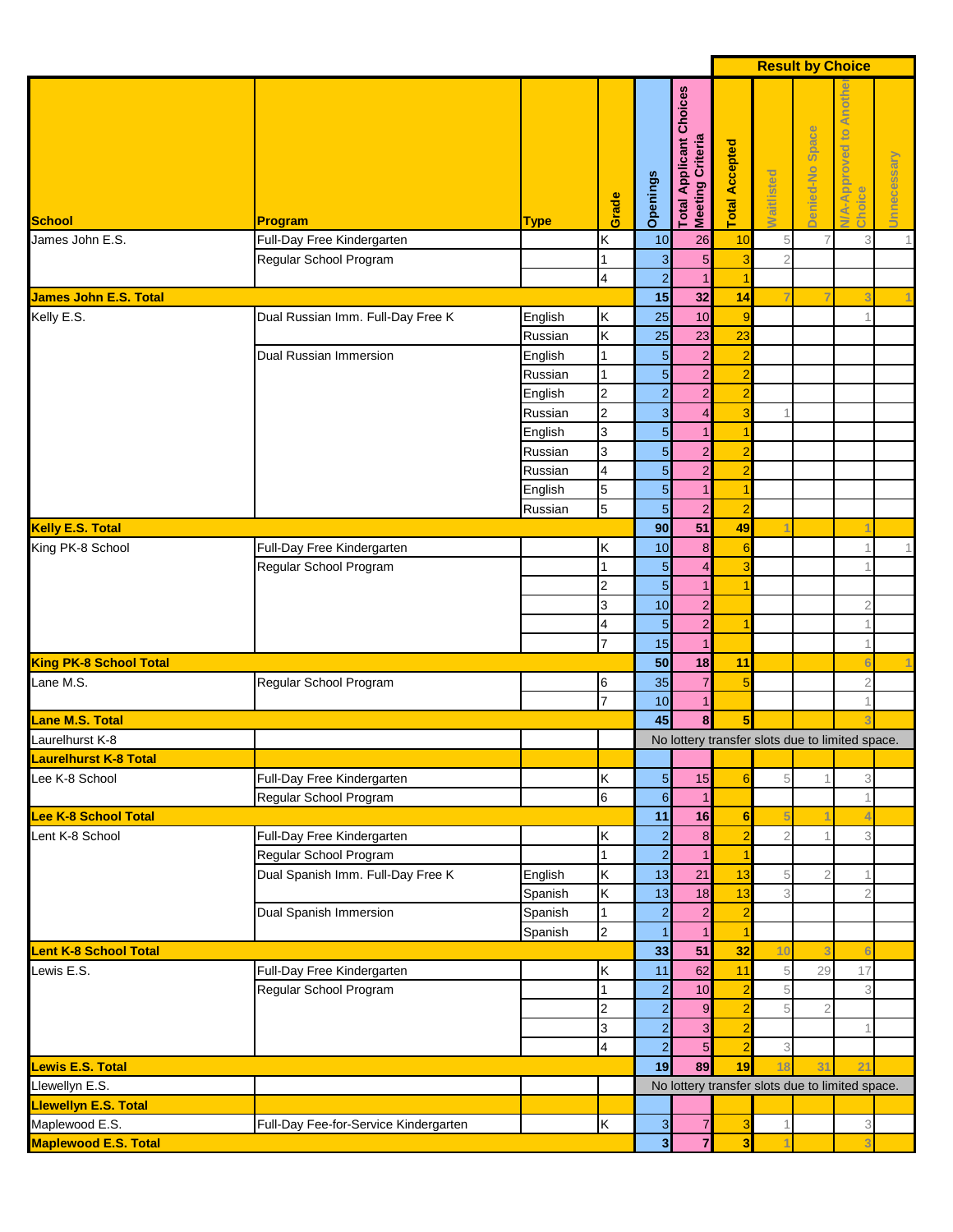|                                            |                                       |                    |                          |                         |                                                           |                                  |                | <b>Result by Choice</b> |                                                 |             |
|--------------------------------------------|---------------------------------------|--------------------|--------------------------|-------------------------|-----------------------------------------------------------|----------------------------------|----------------|-------------------------|-------------------------------------------------|-------------|
| School                                     | Program                               | <b>Type</b>        | Grade                    | Openings                | <b>Total Applicant Choices</b><br><b>Meeting Criteria</b> | <b>Total Accepted</b>            | Waitlisted     | Denied-No Space         | Anot<br>Approved to<br>Choice<br>₹              | Unnecessary |
| James John E.S.                            | Full-Day Free Kindergarten            |                    | Κ                        | 10                      | 26                                                        | 10                               | 5              | $\overline{7}$          | 3                                               | 1           |
|                                            | Regular School Program                |                    | $\mathbf{1}$             | 3                       | 5 <sub>5</sub>                                            | 3                                | $\overline{2}$ |                         |                                                 |             |
|                                            |                                       |                    | $\overline{\mathbf{4}}$  | $\overline{a}$          |                                                           | 1                                |                |                         |                                                 |             |
| <b>James John E.S. Total</b><br>Kelly E.S. |                                       |                    |                          | 15                      | 32                                                        | 14                               |                |                         |                                                 |             |
|                                            | Dual Russian Imm. Full-Day Free K     | English            | Κ<br>K                   | 25                      | 10                                                        | $\overline{9}$                   |                |                         |                                                 |             |
|                                            | Dual Russian Immersion                | Russian            | $\overline{1}$           | 25<br>5                 | 23                                                        | 23                               |                |                         |                                                 |             |
|                                            |                                       | English<br>Russian | $\overline{1}$           | $\overline{5}$          | $\overline{a}$<br>$\overline{\mathbf{c}}$                 | $\overline{2}$<br>$\overline{a}$ |                |                         |                                                 |             |
|                                            |                                       | English            | $\overline{2}$           | $\overline{a}$          | $\overline{a}$                                            | $\overline{a}$                   |                |                         |                                                 |             |
|                                            |                                       | Russian            | $\overline{2}$           | 3                       | 4                                                         | $\overline{3}$                   | 1              |                         |                                                 |             |
|                                            |                                       | English            | 3                        | $\overline{5}$          |                                                           | $\overline{1}$                   |                |                         |                                                 |             |
|                                            |                                       | Russian            | 3                        | $\overline{5}$          | $\overline{\mathbf{c}}$                                   | $\overline{a}$                   |                |                         |                                                 |             |
|                                            |                                       | Russian            | $\overline{\mathbf{4}}$  | $\overline{5}$          | $\overline{a}$                                            | $\overline{a}$                   |                |                         |                                                 |             |
|                                            |                                       | English            | $\overline{5}$           | $\overline{5}$          | $\mathbf{1}$                                              | $\overline{1}$                   |                |                         |                                                 |             |
|                                            |                                       | Russian            | 5                        | $\overline{5}$          | $\overline{a}$                                            | $\overline{2}$                   |                |                         |                                                 |             |
| <b>Kelly E.S. Total</b>                    |                                       |                    |                          | 90                      | 51                                                        | 49                               |                |                         |                                                 |             |
| King PK-8 School                           | Full-Day Free Kindergarten            |                    | Κ                        | 10                      | 8                                                         | $6\phantom{1}6$                  |                |                         | $\overline{1}$                                  | 1           |
|                                            | Regular School Program                |                    | $\overline{1}$           | 5                       | 4                                                         | 3                                |                |                         |                                                 |             |
|                                            |                                       |                    | $\overline{2}$           | 5                       | $\mathbf{1}$                                              |                                  |                |                         |                                                 |             |
|                                            |                                       |                    | 3                        | 10                      | $\overline{a}$                                            |                                  |                |                         | $\overline{2}$                                  |             |
|                                            |                                       |                    | 4                        | $\overline{5}$          | $\overline{a}$                                            | 1                                |                |                         |                                                 |             |
|                                            |                                       |                    | $\overline{7}$           | 15                      | $\mathbf{1}$                                              |                                  |                |                         | 1                                               |             |
| <b>King PK-8 School Total</b>              |                                       |                    |                          | 50                      | 18                                                        | 11                               |                |                         | $\epsilon$                                      |             |
| Lane M.S.                                  | Regular School Program                |                    | 6                        | 35                      | 7                                                         | 5                                |                |                         | $\overline{2}$                                  |             |
|                                            |                                       |                    | $\overline{7}$           | 10                      | 1                                                         |                                  |                |                         |                                                 |             |
| Lane M.S. Total<br>ı                       |                                       |                    |                          | 45                      | 8                                                         | 5                                |                |                         |                                                 |             |
| Laurelhurst K-8                            |                                       |                    |                          |                         |                                                           |                                  |                |                         | No lottery transfer slots due to limited space. |             |
| <b>Laurelhurst K-8 Total</b>               |                                       |                    |                          |                         |                                                           |                                  |                |                         |                                                 |             |
| Lee K-8 School                             | Full-Day Free Kindergarten            |                    | Κ                        | $\overline{5}$          | 15                                                        | 6                                | 5              |                         | 3                                               |             |
|                                            | Regular School Program                |                    | 6                        | $\,$ 6 $\,$             | $\mathbf{1}$                                              |                                  |                |                         |                                                 |             |
| <b>Lee K-8 School Total</b>                |                                       |                    |                          | 11                      | 16                                                        | 6                                |                |                         |                                                 |             |
| Lent K-8 School                            | Full-Day Free Kindergarten            |                    | Κ                        | $\overline{2}$          | 8                                                         | $\overline{a}$                   | $\overline{2}$ |                         | 3                                               |             |
|                                            | Regular School Program                |                    | $\overline{1}$           | $\overline{a}$          | $\mathbf{1}$                                              | 1                                |                |                         |                                                 |             |
|                                            | Dual Spanish Imm. Full-Day Free K     | English            | Κ                        | 13                      | 21                                                        | 13                               | 5              | $\overline{2}$          | 1                                               |             |
|                                            | Dual Spanish Immersion                | Spanish<br>Spanish | Κ<br>$\mathbf{1}$        | 13<br>$\overline{2}$    | 18<br>$\overline{a}$                                      | 13<br>$\overline{2}$             | 3              |                         | $\overline{2}$                                  |             |
|                                            |                                       | Spanish            | $\overline{2}$           |                         | $\mathbf{1}$                                              |                                  |                |                         |                                                 |             |
| <b>Lent K-8 School Total</b>               |                                       |                    |                          | 33                      | 51                                                        | 32                               | 10             |                         | F                                               |             |
| Lewis E.S.                                 | Full-Day Free Kindergarten            |                    | Κ                        | 11                      | 62                                                        | 11                               | 5              | 29                      | 17                                              |             |
|                                            | Regular School Program                |                    | $\overline{1}$           | $\mathbf{2}$            | 10                                                        | $\overline{\mathbf{c}}$          | 5              |                         | 3                                               |             |
|                                            |                                       |                    | $\overline{2}$           | $\mathbf{2}$            | $\overline{9}$                                            | $\overline{a}$                   | 5              | $\overline{2}$          |                                                 |             |
|                                            |                                       |                    | 3                        | $\mathbf{2}$            | 3                                                         | $\overline{a}$                   |                |                         |                                                 |             |
|                                            |                                       |                    | $\overline{\mathcal{A}}$ | $\overline{a}$          | $\overline{5}$                                            | $\overline{a}$                   | 3              |                         |                                                 |             |
| <b>Lewis E.S. Total</b>                    |                                       |                    |                          | 19                      | 89                                                        | 19                               | 18             | 31                      | $\overline{2}$                                  |             |
| Llewellyn E.S.                             |                                       |                    |                          |                         |                                                           |                                  |                |                         | No lottery transfer slots due to limited space. |             |
| <b>Llewellyn E.S. Total</b>                |                                       |                    |                          |                         |                                                           |                                  |                |                         |                                                 |             |
| Maplewood E.S.                             | Full-Day Fee-for-Service Kindergarten |                    | K                        | $\mathbf{3}$            | 7                                                         | $\mathbf{3}$                     | 1              |                         | 3                                               |             |
| <b>Maplewood E.S. Total</b>                |                                       |                    |                          | $\overline{\mathbf{3}}$ | $\overline{7}$                                            | $\overline{\mathbf{3}}$          |                |                         | Ŕ                                               |             |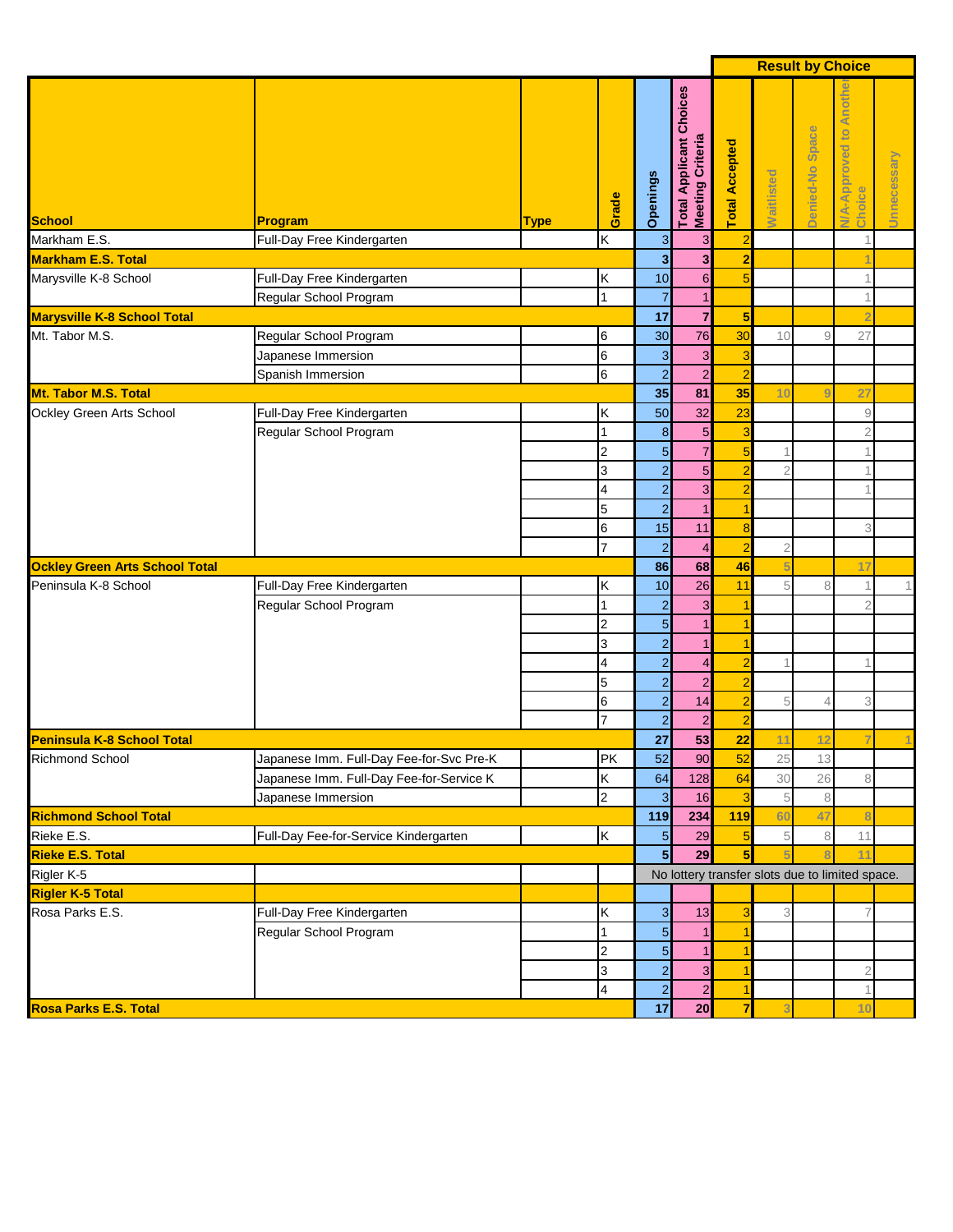|                                       |                                          |             |                         |                         |                                                    |                         | <b>Result by Choice</b> |                 |                                                      |             |
|---------------------------------------|------------------------------------------|-------------|-------------------------|-------------------------|----------------------------------------------------|-------------------------|-------------------------|-----------------|------------------------------------------------------|-------------|
| <b>School</b>                         | Program                                  | <b>Type</b> | Grade                   | Openings                | <b>Total Applicant Choices</b><br>Meeting Criteria | otal Accepted           | <b>Waitlisted</b>       | Denied-No Space | Anot<br>$\overline{5}$<br>Approved<br>Choice<br>N/A- | Unnecessary |
| Markham E.S.                          | Full-Day Free Kindergarten               |             | Κ                       | $\mathbf{3}$            | 3                                                  | $\overline{a}$          |                         |                 |                                                      |             |
| Markham E.S. Total                    |                                          |             |                         | $\overline{\mathbf{3}}$ | $\overline{\mathbf{3}}$                            | $\overline{2}$          |                         |                 |                                                      |             |
| Marysville K-8 School                 | Full-Day Free Kindergarten               |             | Κ                       | 10                      | $6 \overline{6}$                                   | 5                       |                         |                 |                                                      |             |
|                                       | Regular School Program                   |             | $\overline{1}$          | $\overline{7}$          | $\mathbf{1}$                                       |                         |                         |                 | -1                                                   |             |
| <b>Marysville K-8 School Total</b>    |                                          |             |                         | 17                      | $\overline{7}$                                     | 5                       |                         |                 |                                                      |             |
| Mt. Tabor M.S.                        | Regular School Program                   |             | 6                       | 30                      | 76                                                 | 30                      | 10                      | 9               | 27                                                   |             |
|                                       | Japanese Immersion                       |             | $6\phantom{a}$          | 3                       | $\mathbf{3}$                                       | $\overline{\mathbf{3}}$ |                         |                 |                                                      |             |
|                                       | Spanish Immersion                        |             | $6\phantom{.}6$         | $\overline{a}$          | $\overline{a}$                                     | $\overline{a}$          |                         |                 |                                                      |             |
| Mt. Tabor M.S. Total                  |                                          |             |                         | 35                      | 81                                                 | 35                      | 10                      |                 | 27                                                   |             |
| Ockley Green Arts School              | Full-Day Free Kindergarten               |             | Κ                       | 50                      | 32                                                 | 23                      |                         |                 | $\overline{9}$                                       |             |
|                                       | Regular School Program                   |             | $\overline{1}$          | $\boldsymbol{8}$        | $5\phantom{.0}$                                    | 3                       |                         |                 | $\overline{2}$                                       |             |
|                                       |                                          |             | $\overline{2}$          | $\overline{5}$          | $\overline{7}$                                     | $\overline{5}$          | 1                       |                 | 1                                                    |             |
|                                       |                                          |             | 3                       | $\overline{a}$          | $\overline{5}$                                     | $\overline{a}$          | $\overline{2}$          |                 | 1                                                    |             |
|                                       |                                          |             | $\overline{4}$          | $\overline{a}$          | 3                                                  | $\overline{a}$          |                         |                 |                                                      |             |
|                                       |                                          |             | 5                       | $\overline{a}$          | $\mathbf{1}$                                       | $\overline{1}$          |                         |                 |                                                      |             |
|                                       |                                          |             | $\,$ 6                  | 15                      | 11                                                 | 8                       |                         |                 | 3                                                    |             |
|                                       |                                          |             | $\overline{7}$          | $\overline{a}$          | $\overline{4}$                                     | $\overline{a}$          | $\overline{2}$          |                 |                                                      |             |
| <b>Ockley Green Arts School Total</b> |                                          |             |                         | 86                      | 68                                                 | 46                      |                         |                 | 17                                                   |             |
| Peninsula K-8 School                  | Full-Day Free Kindergarten               |             | Κ                       | 10                      | 26                                                 | 11                      | 5                       | 8               | $\mathbf 1$                                          | 1           |
|                                       | Regular School Program                   |             | 1                       | $\overline{2}$          | 3                                                  | 1                       |                         |                 | $\overline{2}$                                       |             |
|                                       |                                          |             | $\overline{2}$          | 5                       |                                                    | 1                       |                         |                 |                                                      |             |
|                                       |                                          |             | 3                       | $\overline{a}$          |                                                    | 1                       |                         |                 |                                                      |             |
|                                       |                                          |             | $\overline{4}$          | $\overline{a}$          | 4                                                  | $\overline{a}$          |                         |                 |                                                      |             |
|                                       |                                          |             | 5                       | $\overline{a}$          | $\overline{a}$                                     | $\overline{a}$          |                         |                 |                                                      |             |
|                                       |                                          |             | $\,$ 6                  | $\overline{a}$          | 14                                                 | $\overline{a}$          | 5                       |                 | 3                                                    |             |
|                                       |                                          |             | $\overline{7}$          | $\overline{2}$          | $\overline{a}$                                     | $\overline{a}$          |                         |                 |                                                      |             |
| Peninsula K-8 School Total            |                                          |             |                         | 27                      | 53                                                 | 22                      | 11                      |                 |                                                      |             |
| <b>Richmond School</b>                | Japanese Imm. Full-Day Fee-for-Svc Pre-K |             | <b>PK</b>               | 52                      | 90                                                 | 52                      | 25                      | 13              |                                                      |             |
|                                       | Japanese Imm. Full-Day Fee-for-Service K |             | Κ                       | 64                      | 128                                                | 64                      | 30                      | 26              | 8                                                    |             |
|                                       | Japanese Immersion                       |             | $\overline{2}$          | $\mathbf{3}$            | 16                                                 | $\overline{\mathbf{3}}$ | 5                       | $\,8\,$         |                                                      |             |
| <b>Richmond School Total</b>          |                                          |             |                         | 119                     | 234                                                | 119                     | 60                      | 47              | $\overline{\mathbf{8}}$                              |             |
| Rieke E.S.                            | Full-Day Fee-for-Service Kindergarten    |             | K                       | $\overline{5}$          | 29                                                 | $\overline{5}$          | 5                       | 8               | 11                                                   |             |
| <b>Rieke E.S. Total</b>               |                                          |             |                         | $5\phantom{.0}$         | 29                                                 | $5\overline{5}$         |                         |                 | 11                                                   |             |
| Rigler <sub>K-5</sub>                 |                                          |             |                         |                         |                                                    |                         |                         |                 | No lottery transfer slots due to limited space.      |             |
| <b>Rigler K-5 Total</b>               |                                          |             |                         |                         |                                                    |                         |                         |                 |                                                      |             |
| Rosa Parks E.S.                       | Full-Day Free Kindergarten               |             | Κ                       | $\mathbf{3}$            | 13                                                 | 3                       | 3                       |                 | $\overline{7}$                                       |             |
|                                       | Regular School Program                   |             |                         | 5                       |                                                    |                         |                         |                 |                                                      |             |
|                                       |                                          |             | $\overline{c}$          | 5                       |                                                    |                         |                         |                 |                                                      |             |
|                                       |                                          |             | 3                       | $\overline{a}$          | 3                                                  | 1                       |                         |                 | $\overline{2}$                                       |             |
|                                       |                                          |             | $\overline{\mathbf{4}}$ | $\overline{a}$          | $\mathbf{2}$                                       | 1                       |                         |                 | 1                                                    |             |
| <b>Rosa Parks E.S. Total</b>          |                                          |             |                         | 17                      | 20                                                 | $\overline{7}$          |                         |                 | 10                                                   |             |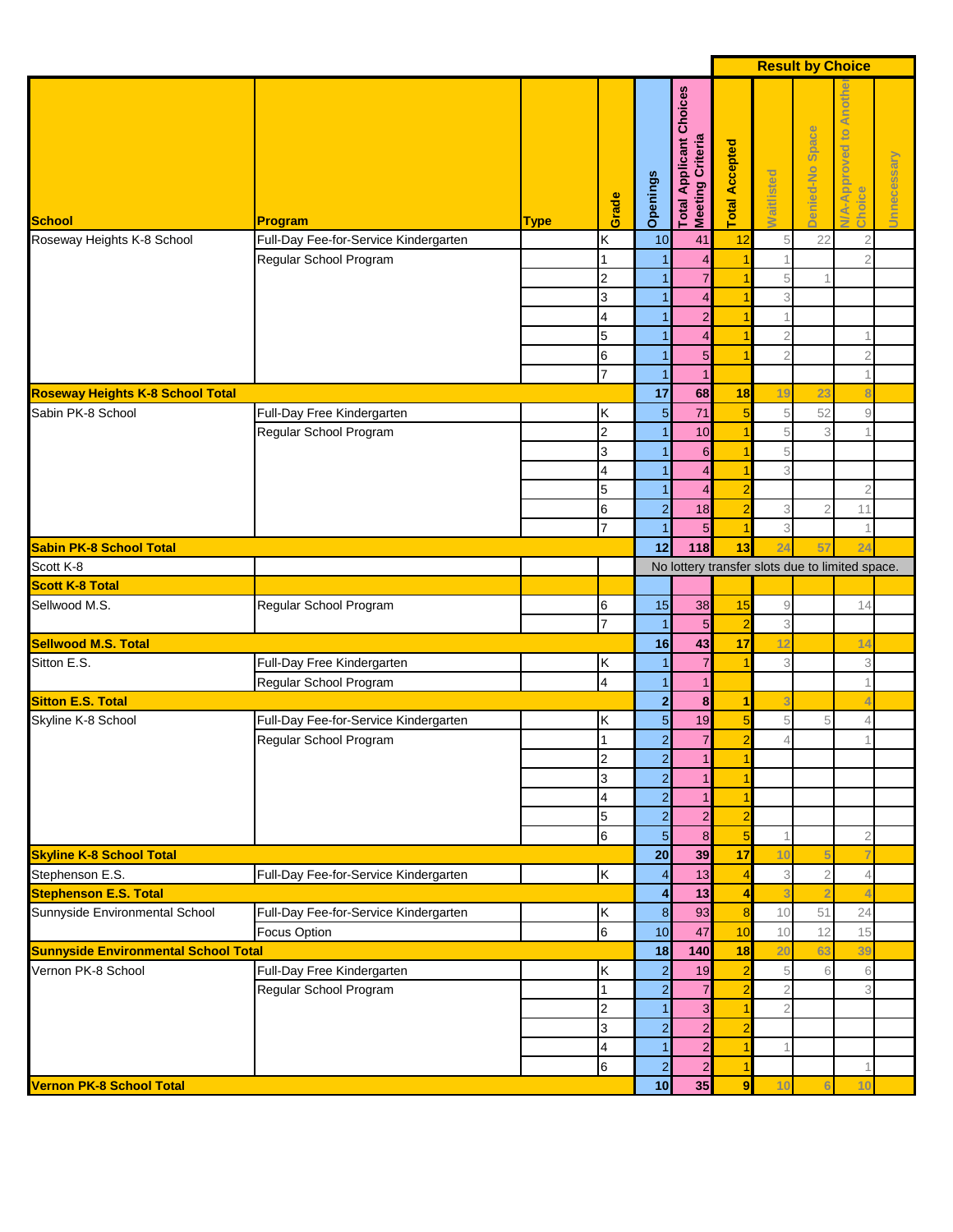|                                                    |                                       |             |                         |                      |                                                    |                         |                                  | <b>Result by Choice</b> |                                                 |             |
|----------------------------------------------------|---------------------------------------|-------------|-------------------------|----------------------|----------------------------------------------------|-------------------------|----------------------------------|-------------------------|-------------------------------------------------|-------------|
| School                                             | Program                               | <b>Type</b> | Grade                   | Openings             | <b>Total Applicant Choices</b><br>Meeting Criteria | <b>Total Accepted</b>   | Waitlisted                       | Denied-No Space         | Anoth<br>A-Approved to<br>Choice                | Unnecessary |
| Roseway Heights K-8 School                         | Full-Day Fee-for-Service Kindergarten |             | Κ                       | 10                   | 41                                                 | 12                      | 5                                | 22                      | $\overline{2}$                                  |             |
|                                                    | Regular School Program                |             |                         |                      | 4                                                  |                         |                                  |                         | $\overline{2}$                                  |             |
|                                                    |                                       |             | $\overline{2}$          |                      |                                                    |                         | 5                                |                         |                                                 |             |
|                                                    |                                       |             | 3                       |                      |                                                    |                         | 3                                |                         |                                                 |             |
|                                                    |                                       |             | 4                       |                      | $\overline{\mathbf{c}}$<br>4                       | 1                       |                                  |                         |                                                 |             |
|                                                    |                                       |             | 5<br>$\,$ 6             |                      | 5                                                  | 1                       | $\overline{2}$<br>$\overline{2}$ |                         | $\overline{2}$                                  |             |
|                                                    |                                       |             | $\overline{7}$          |                      |                                                    |                         |                                  |                         |                                                 |             |
| <b>Roseway Heights K-8 School Total</b>            |                                       |             |                         | 17                   | 68                                                 | 18                      | 19                               | 23                      |                                                 |             |
| Sabin PK-8 School                                  | Full-Day Free Kindergarten            |             | Κ                       | $5\phantom{.0}$      | 71                                                 | $\overline{5}$          | 5                                | 52                      | $\mathcal G$                                    |             |
|                                                    | Regular School Program                |             | $\overline{2}$          | 1                    | 10                                                 | $\overline{1}$          | 5                                | 3                       |                                                 |             |
|                                                    |                                       |             | 3                       |                      | 6                                                  | 1                       | 5                                |                         |                                                 |             |
|                                                    |                                       |             | $\overline{4}$          |                      | 4                                                  | 1                       | 3                                |                         |                                                 |             |
|                                                    |                                       |             | 5                       | 1                    | 4                                                  | $\overline{\mathbf{c}}$ |                                  |                         | $\overline{2}$                                  |             |
|                                                    |                                       |             | $\,$ 6                  | $\overline{2}$       | 18                                                 | $\overline{a}$          | 3                                | $\overline{2}$          | 11                                              |             |
|                                                    |                                       |             | $\overline{7}$          | 1                    | 5                                                  | $\mathbf{1}$            | 3                                |                         |                                                 |             |
| <b>Sabin PK-8 School Total</b>                     |                                       |             |                         | 12                   | 118                                                | 13                      | 24                               | 57                      | 24                                              |             |
| Scott K-8                                          |                                       |             |                         |                      |                                                    |                         |                                  |                         | No lottery transfer slots due to limited space. |             |
| <b>Scott K-8 Total</b>                             |                                       |             |                         |                      |                                                    |                         |                                  |                         |                                                 |             |
| Sellwood M.S.                                      | Regular School Program                |             | 6<br>$\overline{7}$     | 15                   | 38<br>5                                            | 15<br>$\overline{2}$    | 9<br>3                           |                         | 14                                              |             |
| <b>Sellwood M.S. Total</b>                         |                                       |             |                         | 16                   | 43                                                 | 17                      | 12                               |                         | 14                                              |             |
| Sitton E.S.                                        | Full-Day Free Kindergarten            |             | Κ                       |                      | 7                                                  | 1                       | 3                                |                         | 3                                               |             |
|                                                    | Regular School Program                |             | $\overline{\mathbf{4}}$ |                      |                                                    |                         |                                  |                         |                                                 |             |
| <b>Sitton E.S. Total</b>                           |                                       |             |                         | $\mathbf{2}$         | 8                                                  | 1                       |                                  |                         |                                                 |             |
| Skyline K-8 School                                 | Full-Day Fee-for-Service Kindergarten |             | Κ                       | $\overline{5}$       | 19                                                 | $\overline{5}$          | 5                                | 5                       | $\overline{4}$                                  |             |
|                                                    | Regular School Program                |             |                         | $\overline{c}$       | $\overline{7}$                                     | $\overline{2}$          | $\overline{4}$                   |                         |                                                 |             |
|                                                    |                                       |             | 2                       | $\overline{a}$       | 11                                                 | 1                       |                                  |                         |                                                 |             |
|                                                    |                                       |             | 3                       | $\overline{2}$       |                                                    |                         |                                  |                         |                                                 |             |
|                                                    |                                       |             | $\overline{4}$          | $\overline{2}$       |                                                    | 1                       |                                  |                         |                                                 |             |
|                                                    |                                       |             | $\overline{5}$          | $\overline{2}$       | $\overline{\mathbf{c}}$                            | $\overline{2}$          |                                  |                         |                                                 |             |
|                                                    |                                       |             | $6\phantom{.}6$         | $\overline{5}$       | 8                                                  | $\overline{5}$          |                                  |                         | $\overline{2}$                                  |             |
| <b>Skyline K-8 School Total</b><br>Stephenson E.S. | Full-Day Fee-for-Service Kindergarten |             | K                       | 20<br>$\overline{4}$ | 39<br>13                                           | 17<br>$\overline{4}$    | 10<br>3                          | $\overline{2}$          | $\overline{4}$                                  |             |
| <b>Stephenson E.S. Total</b>                       |                                       |             |                         | $\overline{4}$       | 13                                                 | 4                       |                                  |                         |                                                 |             |
| Sunnyside Environmental School                     | Full-Day Fee-for-Service Kindergarten |             | Κ                       | $\boldsymbol{8}$     | 93                                                 | 8                       | 10                               | 51                      | 24                                              |             |
|                                                    | Focus Option                          |             | $6\overline{6}$         | 10                   | 47                                                 | 10                      | 10                               | 12                      | 15                                              |             |
| <b>Sunnyside Environmental School Total</b>        |                                       |             |                         | 18                   | 140                                                | 18                      | 20                               | 63                      | 39                                              |             |
| Vernon PK-8 School                                 | Full-Day Free Kindergarten            |             | Κ                       | $\overline{2}$       | 19                                                 | $\overline{\mathbf{c}}$ | 5                                | 6                       | 6                                               |             |
|                                                    | Regular School Program                |             | 1                       | $\overline{2}$       | $\overline{7}$                                     | $\overline{\mathbf{c}}$ | $\overline{2}$                   |                         | 3                                               |             |
|                                                    |                                       |             | $\overline{2}$          |                      | 3                                                  | 1                       | 2                                |                         |                                                 |             |
|                                                    |                                       |             | 3                       | $\mathbf{2}$         | $\overline{c}$                                     | $\overline{a}$          |                                  |                         |                                                 |             |
|                                                    |                                       |             | $\overline{4}$          | 1                    | $\overline{c}$                                     | 1                       |                                  |                         |                                                 |             |
|                                                    |                                       |             | 6                       | $\overline{2}$       | $\overline{2}$                                     | 1                       |                                  |                         | 1                                               |             |
| <b>Vernon PK-8 School Total</b>                    |                                       |             |                         | 10                   | 35                                                 | $\overline{9}$          | 10                               |                         | 10                                              |             |